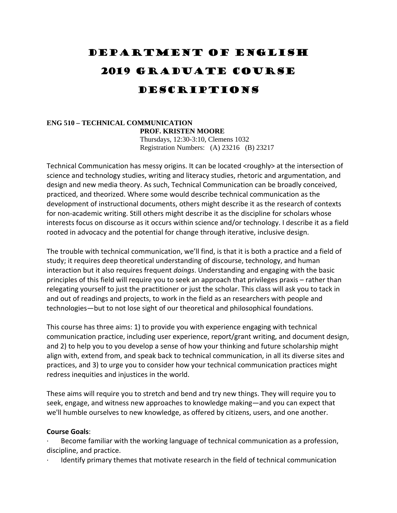# Department of English 2019 Graduate course Descriptions

## **ENG 510 – TECHNICAL COMMUNICATION PROF. KRISTEN MOORE** Thursdays, 12:30-3:10, Clemens 1032 Registration Numbers: (A) 23216 (B) 23217

Technical Communication has messy origins. It can be located <roughly> at the intersection of science and technology studies, writing and literacy studies, rhetoric and argumentation, and design and new media theory. As such, Technical Communication can be broadly conceived, practiced, and theorized. Where some would describe technical communication as the development of instructional documents, others might describe it as the research of contexts for non-academic writing. Still others might describe it as the discipline for scholars whose interests focus on discourse as it occurs within science and/or technology. I describe it as a field rooted in advocacy and the potential for change through iterative, inclusive design.

The trouble with technical communication, we'll find, is that it is both a practice and a field of study; it requires deep theoretical understanding of discourse, technology, and human interaction but it also requires frequent *doings*. Understanding and engaging with the basic principles of this field will require you to seek an approach that privileges praxis – rather than relegating yourself to just the practitioner or just the scholar. This class will ask you to tack in and out of readings and projects, to work in the field as an researchers with people and technologies—but to not lose sight of our theoretical and philosophical foundations.

This course has three aims: 1) to provide you with experience engaging with technical communication practice, including user experience, report/grant writing, and document design, and 2) to help you to you develop a sense of how your thinking and future scholarship might align with, extend from, and speak back to technical communication, in all its diverse sites and practices, and 3) to urge you to consider how your technical communication practices might redress inequities and injustices in the world.

These aims will require you to stretch and bend and try new things. They will require you to seek, engage, and witness new approaches to knowledge making—and you can expect that we'll humble ourselves to new knowledge, as offered by citizens, users, and one another.

## **Course Goals**:

Become familiar with the working language of technical communication as a profession, discipline, and practice.

Identify primary themes that motivate research in the field of technical communication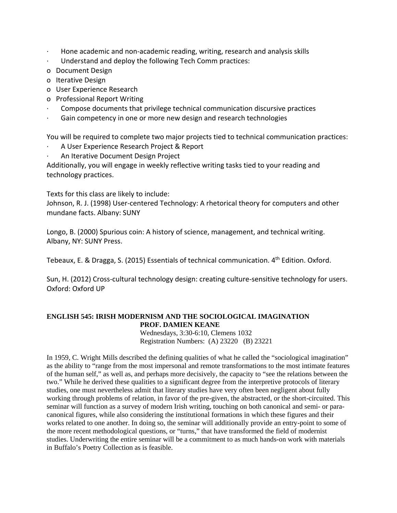- ∙ Hone academic and non‐academic reading, writing, research and analysis skills
- ∙ Understand and deploy the following Tech Comm practices:
- o Document Design
- o Iterative Design
- o User Experience Research
- o Professional Report Writing
- ∙ Compose documents that privilege technical communication discursive practices
- ∙ Gain competency in one or more new design and research technologies

You will be required to complete two major projects tied to technical communication practices:

- ∙ A User Experience Research Project & Report
- ∙ An Iterative Document Design Project

Additionally, you will engage in weekly reflective writing tasks tied to your reading and technology practices.

Texts for this class are likely to include:

Johnson, R. J. (1998) User-centered Technology: A rhetorical theory for computers and other mundane facts. Albany: SUNY

Longo, B. (2000) Spurious coin: A history of science, management, and technical writing. Albany, NY: SUNY Press.

Tebeaux, E. & Dragga, S. (2015) Essentials of technical communication. 4<sup>th</sup> Edition. Oxford.

Sun, H. (2012) Cross‐cultural technology design: creating culture‐sensitive technology for users. Oxford: Oxford UP

## **ENGLISH 545: IRISH MODERNISM AND THE SOCIOLOGICAL IMAGINATION PROF. DAMIEN KEANE**

Wednesdays, 3:30-6:10, Clemens 1032 Registration Numbers: (A) 23220 (B) 23221

In 1959, C. Wright Mills described the defining qualities of what he called the "sociological imagination" as the ability to "range from the most impersonal and remote transformations to the most intimate features of the human self," as well as, and perhaps more decisively, the capacity to "see the relations between the two." While he derived these qualities to a significant degree from the interpretive protocols of literary studies, one must nevertheless admit that literary studies have very often been negligent about fully working through problems of relation, in favor of the pre-given, the abstracted, or the short-circuited. This seminar will function as a survey of modern Irish writing, touching on both canonical and semi- or paracanonical figures, while also considering the institutional formations in which these figures and their works related to one another. In doing so, the seminar will additionally provide an entry-point to some of the more recent methodological questions, or "turns," that have transformed the field of modernist studies. Underwriting the entire seminar will be a commitment to as much hands-on work with materials in Buffalo's Poetry Collection as is feasible.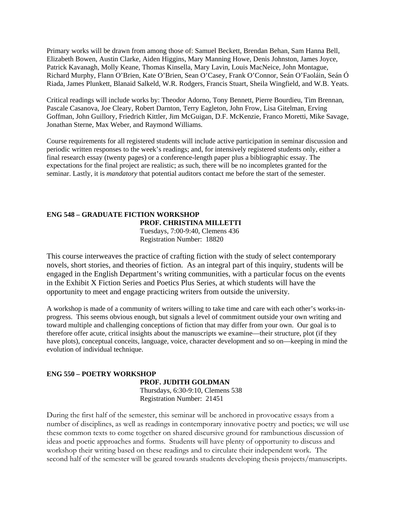Primary works will be drawn from among those of: Samuel Beckett, Brendan Behan, Sam Hanna Bell, Elizabeth Bowen, Austin Clarke, Aiden Higgins, Mary Manning Howe, Denis Johnston, James Joyce, Patrick Kavanagh, Molly Keane, Thomas Kinsella, Mary Lavin, Louis MacNeice, John Montague, Richard Murphy, Flann O'Brien, Kate O'Brien, Sean O'Casey, Frank O'Connor, Seán O'Faoláin, Seán Ó Riada, James Plunkett, Blanaid Salkeld, W.R. Rodgers, Francis Stuart, Sheila Wingfield, and W.B. Yeats.

Critical readings will include works by: Theodor Adorno, Tony Bennett, Pierre Bourdieu, Tim Brennan, Pascale Casanova, Joe Cleary, Robert Darnton, Terry Eagleton, John Frow, Lisa Gitelman, Erving Goffman, John Guillory, Friedrich Kittler, Jim McGuigan, D.F. McKenzie, Franco Moretti, Mike Savage, Jonathan Sterne, Max Weber, and Raymond Williams.

Course requirements for all registered students will include active participation in seminar discussion and periodic written responses to the week's readings; and, for intensively registered students only, either a final research essay (twenty pages) or a conference-length paper plus a bibliographic essay. The expectations for the final project are realistic; as such, there will be no incompletes granted for the seminar. Lastly, it is *mandatory* that potential auditors contact me before the start of the semester.

## **ENG 548 – GRADUATE FICTION WORKSHOP PROF. CHRISTINA MILLETTI**

Tuesdays, 7:00-9:40, Clemens 436 Registration Number: 18820

This course interweaves the practice of crafting fiction with the study of select contemporary novels, short stories, and theories of fiction. As an integral part of this inquiry, students will be engaged in the English Department's writing communities, with a particular focus on the events in the Exhibit X Fiction Series and Poetics Plus Series, at which students will have the opportunity to meet and engage practicing writers from outside the university.

A workshop is made of a community of writers willing to take time and care with each other's works-inprogress. This seems obvious enough, but signals a level of commitment outside your own writing and toward multiple and challenging conceptions of fiction that may differ from your own. Our goal is to therefore offer acute, critical insights about the manuscripts we examine—their structure, plot (if they have plots), conceptual conceits, language, voice, character development and so on—keeping in mind the evolution of individual technique.

## **ENG 550 – POETRY WORKSHOP**

 **PROF. JUDITH GOLDMAN** 

Thursdays, 6:30-9:10, Clemens 538 Registration Number: 21451

During the first half of the semester, this seminar will be anchored in provocative essays from a number of disciplines, as well as readings in contemporary innovative poetry and poetics; we will use these common texts to come together on shared discursive ground for rambunctious discussion of ideas and poetic approaches and forms. Students will have plenty of opportunity to discuss and workshop their writing based on these readings and to circulate their independent work. The second half of the semester will be geared towards students developing thesis projects/manuscripts.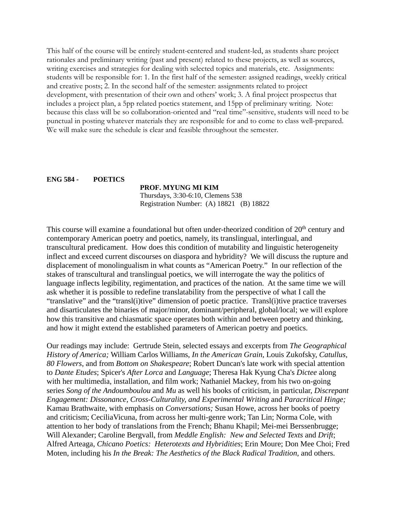This half of the course will be entirely student-centered and student-led, as students share project rationales and preliminary writing (past and present) related to these projects, as well as sources, writing exercises and strategies for dealing with selected topics and materials, etc. Assignments: students will be responsible for: 1. In the first half of the semester: assigned readings, weekly critical and creative posts; 2. In the second half of the semester: assignments related to project development, with presentation of their own and others' work; 3. A final project prospectus that includes a project plan, a 5pp related poetics statement, and 15pp of preliminary writing. Note: because this class will be so collaboration-oriented and "real time"-sensitive, students will need to be punctual in posting whatever materials they are responsible for and to come to class well-prepared. We will make sure the schedule is clear and feasible throughout the semester.

#### **ENG 584 - POETICS**

#### **PROF. MYUNG MI KIM**

Thursdays, 3:30-6:10, Clemens 538 Registration Number: (A) 18821 (B) 18822

This course will examine a foundational but often under-theorized condition of 20<sup>th</sup> century and contemporary American poetry and poetics, namely, its translingual, interlingual, and transcultural predicament. How does this condition of mutability and linguistic heterogeneity inflect and exceed current discourses on diaspora and hybridity? We will discuss the rupture and displacement of monolingualism in what counts as "American Poetry." In our reflection of the stakes of transcultural and translingual poetics, we will interrogate the way the politics of language inflects legibility, regimentation, and practices of the nation. At the same time we will ask whether it is possible to redefine translatability from the perspective of what I call the "translative" and the "transl(i)tive" dimension of poetic practice. Transl(i)tive practice traverses and disarticulates the binaries of major/minor, dominant/peripheral, global/local; we will explore how this transitive and chiasmatic space operates both within and between poetry and thinking, and how it might extend the established parameters of American poetry and poetics.

Our readings may include: Gertrude Stein, selected essays and excerpts from *The Geographical History of America;* William Carlos Williams, *In the American Grain,* Louis Zukofsky, *Catullus, 80 Flowers*, and from *Bottom on Shakespeare*; Robert Duncan's late work with special attention to *Dante Etudes*; Spicer's *After Lorca* and *Language*; Theresa Hak Kyung Cha's *Dictee* along with her multimedia, installation, and film work; Nathaniel Mackey, from his two on-going series *Song of the Andoumboulou* and *Mu* as well his books of criticism, in particular, *Discrepant Engagement: Dissonance, Cross-Culturality, and Experimental Writing* and *Paracritical Hinge;* Kamau Brathwaite, with emphasis on *Conversations;* Susan Howe, across her books of poetry and criticism; CeciliaVicuna, from across her multi-genre work; Tan Lin; Norma Cole, with attention to her body of translations from the French; Bhanu Khapil; Mei-mei Berssenbrugge; Will Alexander; Caroline Bergvall, from *Meddle English: New and Selected Texts* and *Drift*; Alfred Arteaga, *Chicano Poetics: Heterotexts and Hybridities*; Erin Moure; Don Mee Choi; Fred Moten, including his *In the Break: The Aesthetics of the Black Radical Tradition*, and others.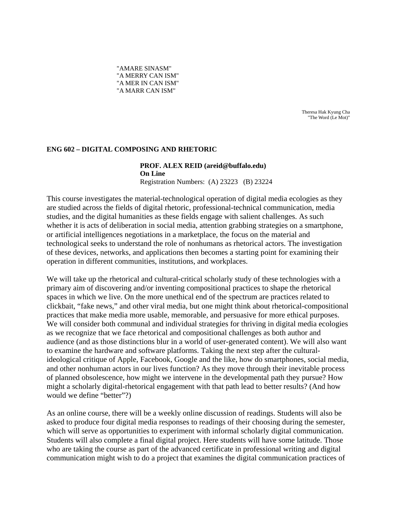"AMARE SINASM" "A MERRY CAN ISM" "A MER IN CAN ISM" "A MARR CAN ISM"

> Theresa Hak Kyung Cha "The Word (Le Mot)"

## **ENG 602 – DIGITAL COMPOSING AND RHETORIC**

#### **PROF. ALEX REID (areid@buffalo.edu) On Line** Registration Numbers: (A) 23223 (B) 23224

This course investigates the material-technological operation of digital media ecologies as they are studied across the fields of digital rhetoric, professional-technical communication, media studies, and the digital humanities as these fields engage with salient challenges. As such whether it is acts of deliberation in social media, attention grabbing strategies on a smartphone, or artificial intelligences negotiations in a marketplace, the focus on the material and technological seeks to understand the role of nonhumans as rhetorical actors. The investigation of these devices, networks, and applications then becomes a starting point for examining their operation in different communities, institutions, and workplaces.

We will take up the rhetorical and cultural-critical scholarly study of these technologies with a primary aim of discovering and/or inventing compositional practices to shape the rhetorical spaces in which we live. On the more unethical end of the spectrum are practices related to clickbait, "fake news," and other viral media, but one might think about rhetorical-compositional practices that make media more usable, memorable, and persuasive for more ethical purposes. We will consider both communal and individual strategies for thriving in digital media ecologies as we recognize that we face rhetorical and compositional challenges as both author and audience (and as those distinctions blur in a world of user-generated content). We will also want to examine the hardware and software platforms. Taking the next step after the culturalideological critique of Apple, Facebook, Google and the like, how do smartphones, social media, and other nonhuman actors in our lives function? As they move through their inevitable process of planned obsolescence, how might we intervene in the developmental path they pursue? How might a scholarly digital-rhetorical engagement with that path lead to better results? (And how would we define "better"?)

As an online course, there will be a weekly online discussion of readings. Students will also be asked to produce four digital media responses to readings of their choosing during the semester, which will serve as opportunities to experiment with informal scholarly digital communication. Students will also complete a final digital project. Here students will have some latitude. Those who are taking the course as part of the advanced certificate in professional writing and digital communication might wish to do a project that examines the digital communication practices of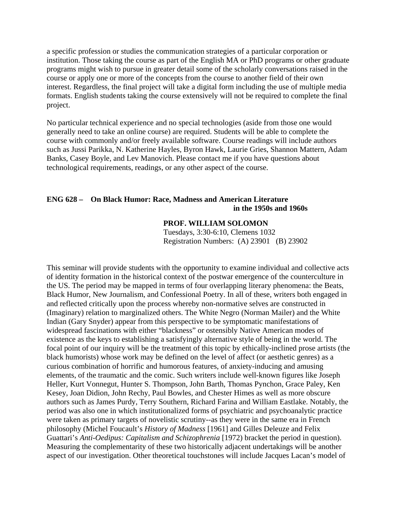a specific profession or studies the communication strategies of a particular corporation or institution. Those taking the course as part of the English MA or PhD programs or other graduate programs might wish to pursue in greater detail some of the scholarly conversations raised in the course or apply one or more of the concepts from the course to another field of their own interest. Regardless, the final project will take a digital form including the use of multiple media formats. English students taking the course extensively will not be required to complete the final project.

No particular technical experience and no special technologies (aside from those one would generally need to take an online course) are required. Students will be able to complete the course with commonly and/or freely available software. Course readings will include authors such as Jussi Parikka, N. Katherine Hayles, Byron Hawk, Laurie Gries, Shannon Mattern, Adam Banks, Casey Boyle, and Lev Manovich. Please contact me if you have questions about technological requirements, readings, or any other aspect of the course.

## **ENG 628 – On Black Humor: Race, Madness and American Literature in the 1950s and 1960s**

## **PROF. WILLIAM SOLOMON**

Tuesdays, 3:30-6:10, Clemens 1032 Registration Numbers: (A) 23901 (B) 23902

This seminar will provide students with the opportunity to examine individual and collective acts of identity formation in the historical context of the postwar emergence of the counterculture in the US. The period may be mapped in terms of four overlapping literary phenomena: the Beats, Black Humor, New Journalism, and Confessional Poetry. In all of these, writers both engaged in and reflected critically upon the process whereby non-normative selves are constructed in (Imaginary) relation to marginalized others. The White Negro (Norman Mailer) and the White Indian (Gary Snyder) appear from this perspective to be symptomatic manifestations of widespread fascinations with either "blackness" or ostensibly Native American modes of existence as the keys to establishing a satisfyingly alternative style of being in the world. The focal point of our inquiry will be the treatment of this topic by ethically-inclined prose artists (the black humorists) whose work may be defined on the level of affect (or aesthetic genres) as a curious combination of horrific and humorous features, of anxiety-inducing and amusing elements, of the traumatic and the comic. Such writers include well-known figures like Joseph Heller, Kurt Vonnegut, Hunter S. Thompson, John Barth, Thomas Pynchon, Grace Paley, Ken Kesey, Joan Didion, John Rechy, Paul Bowles, and Chester Himes as well as more obscure authors such as James Purdy, Terry Southern, Richard Farina and William Eastlake. Notably, the period was also one in which institutionalized forms of psychiatric and psychoanalytic practice were taken as primary targets of novelistic scrutiny--as they were in the same era in French philosophy (Michel Foucault's *History of Madness* [1961] and Gilles Deleuze and Felix Guattari's *Anti-Oedipus: Capitalism and Schizophrenia* [1972) bracket the period in question). Measuring the complementarity of these two historically adjacent undertakings will be another aspect of our investigation. Other theoretical touchstones will include Jacques Lacan's model of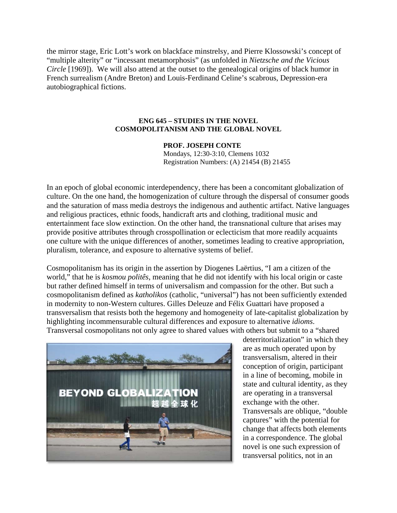the mirror stage, Eric Lott's work on blackface minstrelsy, and Pierre Klossowski's concept of "multiple alterity" or "incessant metamorphosis" (as unfolded in *Nietzsche and the Vicious Circle* [1969]). We will also attend at the outset to the genealogical origins of black humor in French surrealism (Andre Breton) and Louis-Ferdinand Celine's scabrous, Depression-era autobiographical fictions.

## **ENG 645 – STUDIES IN THE NOVEL COSMOPOLITANISM AND THE GLOBAL NOVEL**

## **PROF. JOSEPH CONTE**

Mondays, 12:30-3:10, Clemens 1032 Registration Numbers: (A) 21454 (B) 21455

In an epoch of global economic interdependency, there has been a concomitant globalization of culture. On the one hand, the homogenization of culture through the dispersal of consumer goods and the saturation of mass media destroys the indigenous and authentic artifact. Native languages and religious practices, ethnic foods, handicraft arts and clothing, traditional music and entertainment face slow extinction. On the other hand, the transnational culture that arises may provide positive attributes through crosspollination or eclecticism that more readily acquaints one culture with the unique differences of another, sometimes leading to creative appropriation, pluralism, tolerance, and exposure to alternative systems of belief.

Cosmopolitanism has its origin in the assertion by Diogenes Laërtius, "I am a citizen of the world," that he is *kosmou politês*, meaning that he did not identify with his local origin or caste but rather defined himself in terms of universalism and compassion for the other. But such a cosmopolitanism defined as *katholikos* (catholic, "universal") has not been sufficiently extended in modernity to non-Western cultures. Gilles Deleuze and Félix Guattari have proposed a transversalism that resists both the hegemony and homogeneity of late-capitalist globalization by highlighting incommensurable cultural differences and exposure to alternative *idioms*. Transversal cosmopolitans not only agree to shared values with others but submit to a "shared



deterritorialization" in which they are as much operated upon by transversalism, altered in their conception of origin, participant in a line of becoming, mobile in state and cultural identity, as they are operating in a transversal exchange with the other. Transversals are oblique, "double captures" with the potential for change that affects both elements in a correspondence. The global novel is one such expression of transversal politics, not in an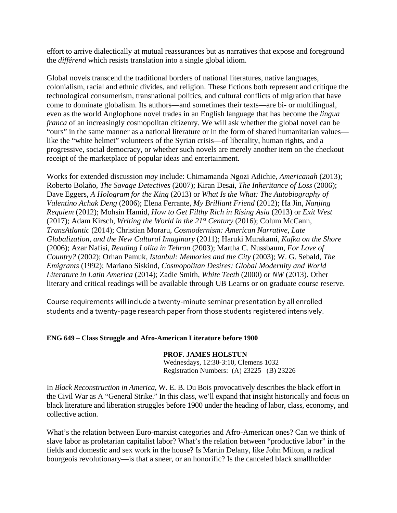effort to arrive dialectically at mutual reassurances but as narratives that expose and foreground the *différend* which resists translation into a single global idiom.

Global novels transcend the traditional borders of national literatures, native languages, colonialism, racial and ethnic divides, and religion. These fictions both represent and critique the technological consumerism, transnational politics, and cultural conflicts of migration that have come to dominate globalism. Its authors—and sometimes their texts—are bi- or multilingual, even as the world Anglophone novel trades in an English language that has become the *lingua franca* of an increasingly cosmopolitan citizenry. We will ask whether the global novel can be "ours" in the same manner as a national literature or in the form of shared humanitarian values like the "white helmet" volunteers of the Syrian crisis—of liberality, human rights, and a progressive, social democracy, or whether such novels are merely another item on the checkout receipt of the marketplace of popular ideas and entertainment.

Works for extended discussion *may* include: Chimamanda Ngozi Adichie, *Americanah* (2013); Roberto Bolaño, *The Savage Detectives* (2007); Kiran Desai, *The Inheritance of Loss* (2006); Dave Eggers, *A Hologram for the King* (2013) or *What Is the What: The Autobiography of Valentino Achak Deng* (2006); Elena Ferrante, *My Brilliant Friend* (2012); Ha Jin, *Nanjing Requiem* (2012); Mohsin Hamid, *How to Get Filthy Rich in Rising Asia* (2013) or *Exit West* (2017); Adam Kirsch, *Writing the World in the 21st Century* (2016); Colum McCann, *TransAtlantic* (2014); Christian Moraru, *Cosmodernism: American Narrative, Late Globalization, and the New Cultural Imaginary* (2011); Haruki Murakami, *Kafka on the Shore* (2006); Azar Nafisi, *Reading Lolita in Tehran* (2003); Martha C. Nussbaum, *For Love of Country?* (2002); Orhan Pamuk, *Istanbul: Memories and the City* (2003); W. G. Sebald, *The Emigrants* (1992); Mariano Siskind, *Cosmopolitan Desires: Global Modernity and World Literature in Latin America* (2014); Zadie Smith, *White Teeth* (2000) or *NW* (2013). Other literary and critical readings will be available through UB Learns or on graduate course reserve.

Course requirements will include a twenty‐minute seminar presentation by all enrolled students and a twenty‐page research paper from those students registered intensively.

## **ENG 649 – Class Struggle and Afro-American Literature before 1900**

## **PROF. JAMES HOLSTUN**

Wednesdays, 12:30-3:10, Clemens 1032 Registration Numbers: (A) 23225 (B) 23226

In *Black Reconstruction in America*, W. E. B. Du Bois provocatively describes the black effort in the Civil War as A "General Strike." In this class, we'll expand that insight historically and focus on black literature and liberation struggles before 1900 under the heading of labor, class, economy, and collective action.

What's the relation between Euro-marxist categories and Afro-American ones? Can we think of slave labor as proletarian capitalist labor? What's the relation between "productive labor" in the fields and domestic and sex work in the house? Is Martin Delany, like John Milton, a radical bourgeois revolutionary—is that a sneer, or an honorific? Is the canceled black smallholder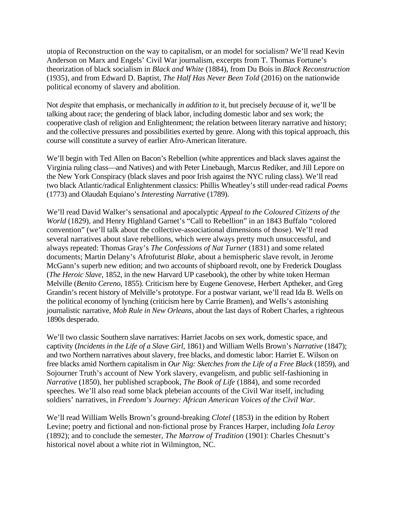utopia of Reconstruction on the way to capitalism, or an model for socialism? We'll read Kevin Anderson on Marx and Engels' Civil War journalism, excerpts from T. Thomas Fortune's theorization of black socialism in *Black and White* (1884), from Du Bois in *Black Reconstruction* (1935), and from Edward D. Baptist, *The Half Has Never Been Told* (2016) on the nationwide political economy of slavery and abolition.

Not *despite* that emphasis, or mechanically *in addition to* it, but precisely *because* of it, we'll be talking about race; the gendering of black labor, including domestic labor and sex work; the cooperative clash of religion and Enlightenment; the relation between literary narrative and history; and the collective pressures and possibilities exerted by genre. Along with this topical approach, this course will constitute a survey of earlier Afro-American literature.

We'll begin with Ted Allen on Bacon's Rebellion (white apprentices and black slaves against the Virginia ruling class—and Natives) and with Peter Linebaugh, Marcus Rediker, and Jill Lepore on the New York Conspiracy (black slaves and poor Irish against the NYC ruling class). We'll read two black Atlantic/radical Enlightenment classics: Phillis Wheatley's still under-read radical *Poems* (1773) and Olaudah Equiano's *Interesting Narrative* (1789).

We'll read David Walker's sensational and apocalyptic *Appeal to the Coloured Citizens of the World* (1829), and Henry Highland Garnet's "Call to Rebellion" in an 1843 Buffalo "colored convention" (we'll talk about the collective-associational dimensions of those). We'll read several narratives about slave rebellions, which were always pretty much unsuccessful, and always repeated: Thomas Gray's *The Confessions of Nat Turner* (1831) and some related documents; Martin Delany's Afrofuturist *Blake*, about a hemispheric slave revolt, in Jerome McGann's superb new edition; and two accounts of shipboard revolt, one by Frederick Douglass (*The Heroic Slave*, 1852, in the new Harvard UP casebook), the other by white token Herman Melville (*Benito Cereno*, 1855). Criticism here by Eugene Genovese, Herbert Aptheker, and Greg Grandin's recent history of Melville's prototype. For a postwar variant, we'll read Ida B. Wells on the political economy of lynching (criticism here by Carrie Bramen), and Wells's astonishing journalistic narrative, *Mob Rule in New Orleans*, about the last days of Robert Charles, a righteous 1890s desperado.

We'll two classic Southern slave narratives: Harriet Jacobs on sex work, domestic space, and captivity (*Incidents in the Life of a Slave Girl*, 1861) and William Wells Brown's *Narrative* (1847); and two Northern narratives about slavery, free blacks, and domestic labor: Harriet E. Wilson on free blacks amid Northern capitalism in *Our Nig: Sketches from the Life of a Free Black* (1859), and Sojourner Truth's account of New York slavery, evangelism, and public self-fashioning in *Narrative* (1850), her published scrapbook, *The Book of Life* (1884), and some recorded speeches. We'll also read some black plebeian accounts of the Civil War itself, including soldiers' narratives, in *Freedom's Journey: African American Voices of the Civil War*.

We'll read William Wells Brown's ground-breaking *Clotel* (1853) in the edition by Robert Levine; poetry and fictional and non-fictional prose by Frances Harper, including *Iola Leroy* (1892); and to conclude the semester, *The Marrow of Tradition* (1901): Charles Chesnutt's historical novel about a white riot in Wilmington, NC.